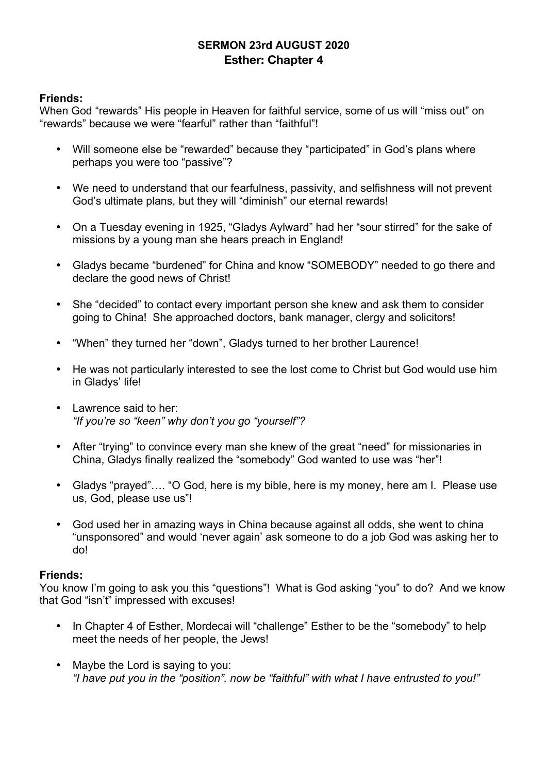# **SERMON 23rd AUGUST 2020 Esther: Chapter 4**

## **Friends:**

When God "rewards" His people in Heaven for faithful service, some of us will "miss out" on "rewards" because we were "fearful" rather than "faithful"!

- Will someone else be "rewarded" because they "participated" in God's plans where perhaps you were too "passive"?
- We need to understand that our fearfulness, passivity, and selfishness will not prevent God's ultimate plans, but they will "diminish" our eternal rewards!
- On a Tuesday evening in 1925, "Gladys Aylward" had her "sour stirred" for the sake of missions by a young man she hears preach in England!
- Gladys became "burdened" for China and know "SOMEBODY" needed to go there and declare the good news of Christ!
- She "decided" to contact every important person she knew and ask them to consider going to China! She approached doctors, bank manager, clergy and solicitors!
- "When" they turned her "down", Gladys turned to her brother Laurence!
- He was not particularly interested to see the lost come to Christ but God would use him in Gladys' life!
- Lawrence said to her: *"If you're so "keen" why don't you go "yourself"?*
- After "trying" to convince every man she knew of the great "need" for missionaries in China, Gladys finally realized the "somebody" God wanted to use was "her"!
- Gladys "prayed"…. "O God, here is my bible, here is my money, here am I. Please use us, God, please use us"!
- God used her in amazing ways in China because against all odds, she went to china "unsponsored" and would 'never again' ask someone to do a job God was asking her to do!

#### **Friends:**

You know I'm going to ask you this "questions"! What is God asking "you" to do? And we know that God "isn't" impressed with excuses!

- In Chapter 4 of Esther, Mordecai will "challenge" Esther to be the "somebody" to help meet the needs of her people, the Jews!
- Maybe the Lord is saying to you: *"I have put you in the "position", now be "faithful" with what I have entrusted to you!"*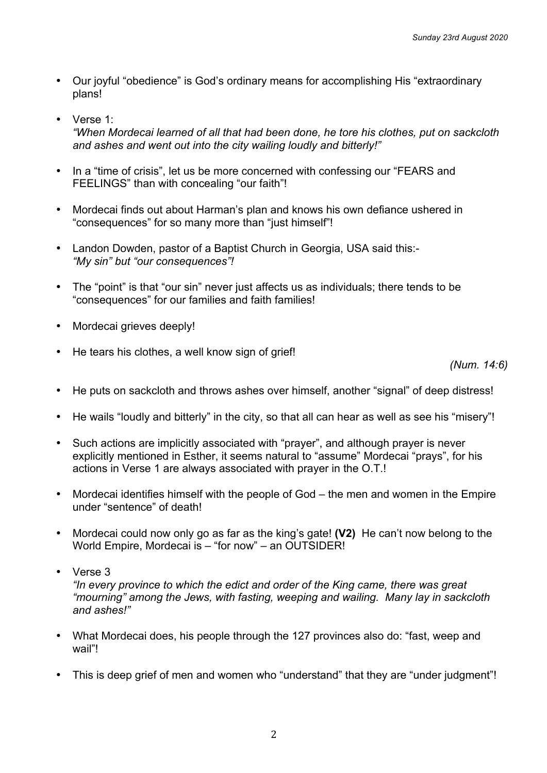- Our joyful "obedience" is God's ordinary means for accomplishing His "extraordinary plans!
- Verse 1: *"When Mordecai learned of all that had been done, he tore his clothes, put on sackcloth and ashes and went out into the city wailing loudly and bitterly!"*
- In a "time of crisis", let us be more concerned with confessing our "FEARS and FEELINGS" than with concealing "our faith"!
- Mordecai finds out about Harman's plan and knows his own defiance ushered in "consequences" for so many more than "just himself"!
- Landon Dowden, pastor of a Baptist Church in Georgia, USA said this:- *"My sin" but "our consequences"!*
- The "point" is that "our sin" never just affects us as individuals; there tends to be "consequences" for our families and faith families!
- Mordecai grieves deeply!
- He tears his clothes, a well know sign of grief!

*(Num. 14:6)*

- He puts on sackcloth and throws ashes over himself, another "signal" of deep distress!
- He wails "loudly and bitterly" in the city, so that all can hear as well as see his "misery"!
- Such actions are implicitly associated with "prayer", and although prayer is never explicitly mentioned in Esther, it seems natural to "assume" Mordecai "prays", for his actions in Verse 1 are always associated with prayer in the O.T.!
- Mordecai identifies himself with the people of God the men and women in the Empire under "sentence" of death!
- Mordecai could now only go as far as the king's gate! **(V2)** He can't now belong to the World Empire, Mordecai is – "for now" – an OUTSIDER!
- Verse 3

*"In every province to which the edict and order of the King came, there was great "mourning" among the Jews, with fasting, weeping and wailing. Many lay in sackcloth and ashes!"*

- What Mordecai does, his people through the 127 provinces also do: "fast, weep and wail"!
- This is deep grief of men and women who "understand" that they are "under judgment"!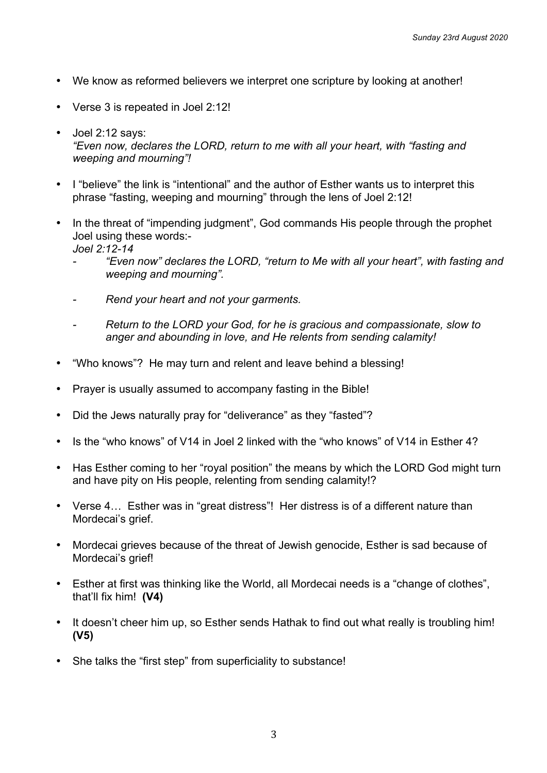- We know as reformed believers we interpret one scripture by looking at another!
- Verse 3 is repeated in Joel 2:12!
- Joel 2:12 says: *"Even now, declares the LORD, return to me with all your heart, with "fasting and weeping and mourning"!*
- I "believe" the link is "intentional" and the author of Esther wants us to interpret this phrase "fasting, weeping and mourning" through the lens of Joel 2:12!
- In the threat of "impending judgment", God commands His people through the prophet Joel using these words:- *Joel 2:12-14*
	- *- "Even now" declares the LORD, "return to Me with all your heart", with fasting and weeping and mourning".*
	- *- Rend your heart and not your garments.*
	- *- Return to the LORD your God, for he is gracious and compassionate, slow to anger and abounding in love, and He relents from sending calamity!*
- "Who knows"? He may turn and relent and leave behind a blessing!
- Prayer is usually assumed to accompany fasting in the Bible!
- Did the Jews naturally pray for "deliverance" as they "fasted"?
- Is the "who knows" of V14 in Joel 2 linked with the "who knows" of V14 in Esther 4?
- Has Esther coming to her "royal position" the means by which the LORD God might turn and have pity on His people, relenting from sending calamity!?
- Verse 4… Esther was in "great distress"! Her distress is of a different nature than Mordecai's grief.
- Mordecai grieves because of the threat of Jewish genocide, Esther is sad because of Mordecai's grief!
- Esther at first was thinking like the World, all Mordecai needs is a "change of clothes", that'll fix him! **(V4)**
- It doesn't cheer him up, so Esther sends Hathak to find out what really is troubling him! **(V5)**
- She talks the "first step" from superficiality to substance!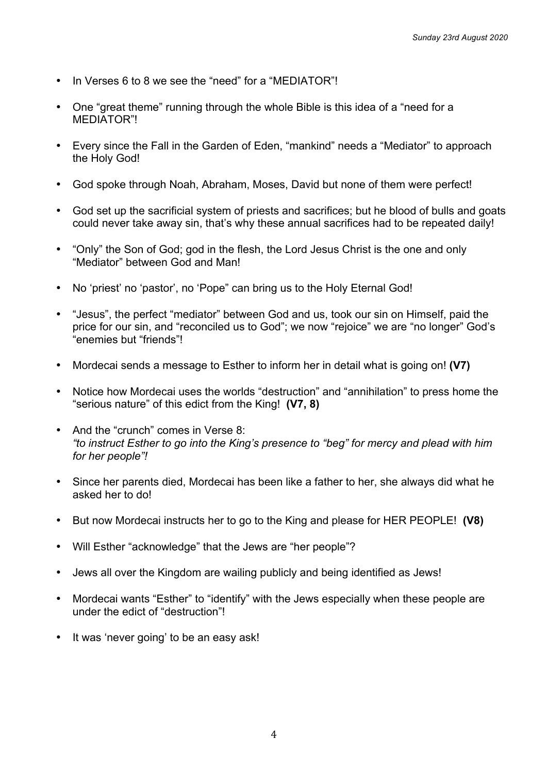- In Verses 6 to 8 we see the "need" for a "MEDIATOR"!
- One "great theme" running through the whole Bible is this idea of a "need for a MEDIATOR"!
- Every since the Fall in the Garden of Eden, "mankind" needs a "Mediator" to approach the Holy God!
- God spoke through Noah, Abraham, Moses, David but none of them were perfect!
- God set up the sacrificial system of priests and sacrifices; but he blood of bulls and goats could never take away sin, that's why these annual sacrifices had to be repeated daily!
- "Only" the Son of God; god in the flesh, the Lord Jesus Christ is the one and only "Mediator" between God and Man!
- No 'priest' no 'pastor', no 'Pope" can bring us to the Holy Eternal God!
- "Jesus", the perfect "mediator" between God and us, took our sin on Himself, paid the price for our sin, and "reconciled us to God"; we now "rejoice" we are "no longer" God's "enemies but "friends"!
- Mordecai sends a message to Esther to inform her in detail what is going on! **(V7)**
- Notice how Mordecai uses the worlds "destruction" and "annihilation" to press home the "serious nature" of this edict from the King! **(V7, 8)**
- And the "crunch" comes in Verse 8: *"to instruct Esther to go into the King's presence to "beg" for mercy and plead with him for her people"!*
- Since her parents died, Mordecai has been like a father to her, she always did what he asked her to do!
- But now Mordecai instructs her to go to the King and please for HER PEOPLE! **(V8)**
- Will Esther "acknowledge" that the Jews are "her people"?
- Jews all over the Kingdom are wailing publicly and being identified as Jews!
- Mordecai wants "Esther" to "identify" with the Jews especially when these people are under the edict of "destruction"!
- It was 'never going' to be an easy ask!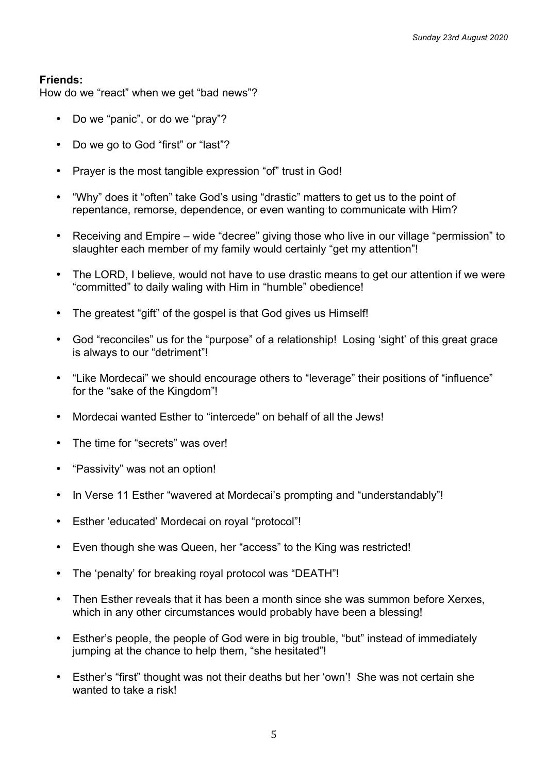How do we "react" when we get "bad news"?

- Do we "panic", or do we "pray"?
- Do we go to God "first" or "last"?
- Prayer is the most tangible expression "of" trust in God!
- "Why" does it "often" take God's using "drastic" matters to get us to the point of repentance, remorse, dependence, or even wanting to communicate with Him?
- Receiving and Empire wide "decree" giving those who live in our village "permission" to slaughter each member of my family would certainly "get my attention"!
- The LORD, I believe, would not have to use drastic means to get our attention if we were "committed" to daily waling with Him in "humble" obedience!
- The greatest "gift" of the gospel is that God gives us Himself!
- God "reconciles" us for the "purpose" of a relationship! Losing 'sight' of this great grace is always to our "detriment"!
- "Like Mordecai" we should encourage others to "leverage" their positions of "influence" for the "sake of the Kingdom"!
- Mordecai wanted Esther to "intercede" on behalf of all the Jews!
- The time for "secrets" was over!
- "Passivity" was not an option!
- In Verse 11 Esther "wavered at Mordecai's prompting and "understandably"!
- Esther 'educated' Mordecai on royal "protocol"!
- Even though she was Queen, her "access" to the King was restricted!
- The 'penalty' for breaking royal protocol was "DEATH"!
- Then Esther reveals that it has been a month since she was summon before Xerxes, which in any other circumstances would probably have been a blessing!
- Esther's people, the people of God were in big trouble, "but" instead of immediately jumping at the chance to help them, "she hesitated"!
- Esther's "first" thought was not their deaths but her 'own'! She was not certain she wanted to take a risk!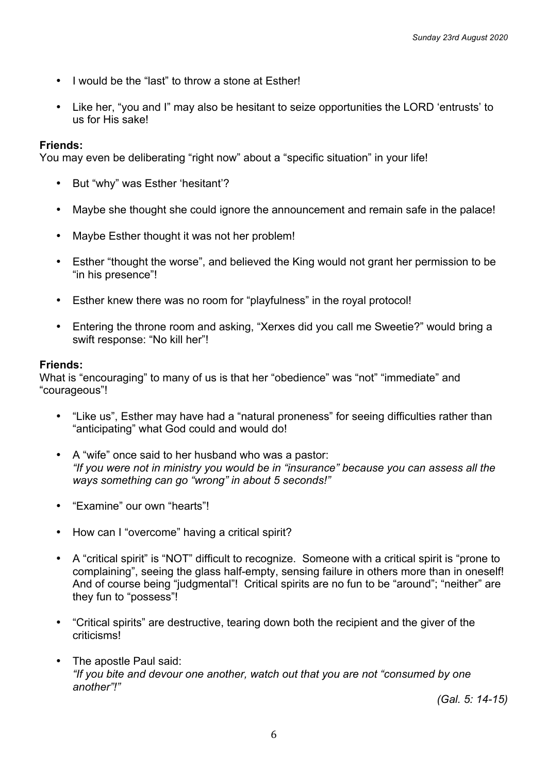- I would be the "last" to throw a stone at Esther!
- Like her, "you and I" may also be hesitant to seize opportunities the LORD 'entrusts' to us for His sake!

You may even be deliberating "right now" about a "specific situation" in your life!

- But "why" was Esther 'hesitant'?
- Maybe she thought she could ignore the announcement and remain safe in the palace!
- Maybe Esther thought it was not her problem!
- Esther "thought the worse", and believed the King would not grant her permission to be "in his presence"!
- Esther knew there was no room for "playfulness" in the royal protocol!
- Entering the throne room and asking, "Xerxes did you call me Sweetie?" would bring a swift response: "No kill her"!

#### **Friends:**

What is "encouraging" to many of us is that her "obedience" was "not" "immediate" and "courageous"!

- "Like us", Esther may have had a "natural proneness" for seeing difficulties rather than "anticipating" what God could and would do!
- A "wife" once said to her husband who was a pastor: *"If you were not in ministry you would be in "insurance" because you can assess all the ways something can go "wrong" in about 5 seconds!"*
- "Examine" our own "hearts"!
- How can I "overcome" having a critical spirit?
- A "critical spirit" is "NOT" difficult to recognize. Someone with a critical spirit is "prone to complaining", seeing the glass half-empty, sensing failure in others more than in oneself! And of course being "judgmental"! Critical spirits are no fun to be "around"; "neither" are they fun to "possess"!
- "Critical spirits" are destructive, tearing down both the recipient and the giver of the criticisms!
- The apostle Paul said: *"If you bite and devour one another, watch out that you are not "consumed by one another"!"*

*(Gal. 5: 14-15)*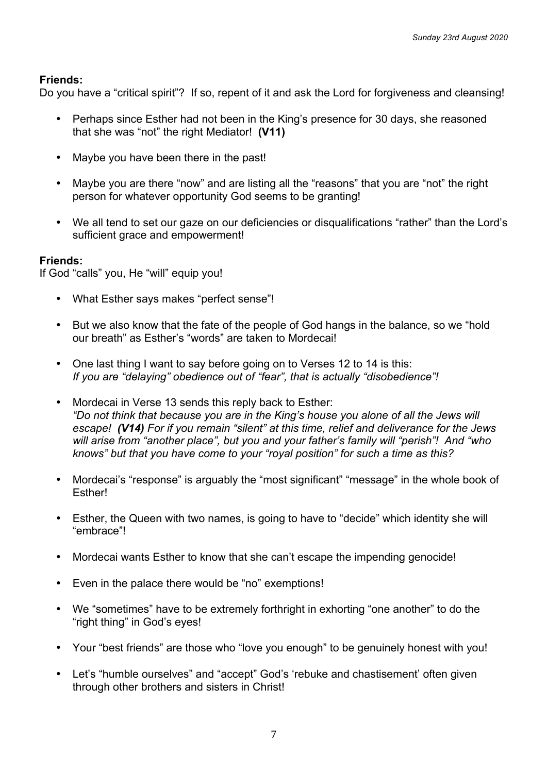Do you have a "critical spirit"? If so, repent of it and ask the Lord for forgiveness and cleansing!

- Perhaps since Esther had not been in the King's presence for 30 days, she reasoned that she was "not" the right Mediator! **(V11)**
- Maybe you have been there in the past!
- Maybe you are there "now" and are listing all the "reasons" that you are "not" the right person for whatever opportunity God seems to be granting!
- We all tend to set our gaze on our deficiencies or disqualifications "rather" than the Lord's sufficient grace and empowerment!

#### **Friends:**

If God "calls" you, He "will" equip you!

- What Esther says makes "perfect sense"!
- But we also know that the fate of the people of God hangs in the balance, so we "hold our breath" as Esther's "words" are taken to Mordecai!
- One last thing I want to say before going on to Verses 12 to 14 is this: *If you are "delaying" obedience out of "fear", that is actually "disobedience"!*
- Mordecai in Verse 13 sends this reply back to Esther: *"Do not think that because you are in the King's house you alone of all the Jews will escape! (V14) For if you remain "silent" at this time, relief and deliverance for the Jews will arise from "another place", but you and your father's family will "perish"! And "who knows" but that you have come to your "royal position" for such a time as this?*
- Mordecai's "response" is arguably the "most significant" "message" in the whole book of **Esther!**
- Esther, the Queen with two names, is going to have to "decide" which identity she will "embrace"!
- Mordecai wants Esther to know that she can't escape the impending genocide!
- Even in the palace there would be "no" exemptions!
- We "sometimes" have to be extremely forthright in exhorting "one another" to do the "right thing" in God's eyes!
- Your "best friends" are those who "love you enough" to be genuinely honest with you!
- Let's "humble ourselves" and "accept" God's 'rebuke and chastisement' often given through other brothers and sisters in Christ!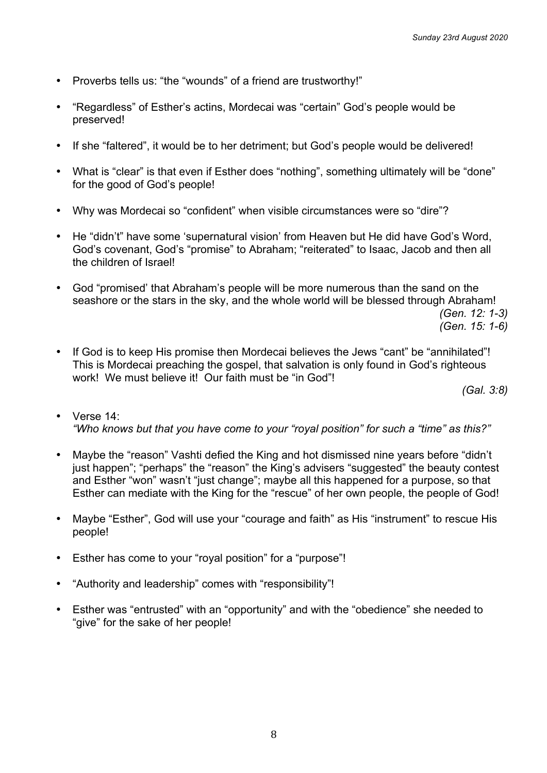- Proverbs tells us: "the "wounds" of a friend are trustworthy!"
- "Regardless" of Esther's actins, Mordecai was "certain" God's people would be preserved!
- If she "faltered", it would be to her detriment; but God's people would be delivered!
- What is "clear" is that even if Esther does "nothing", something ultimately will be "done" for the good of God's people!
- Why was Mordecai so "confident" when visible circumstances were so "dire"?
- He "didn't" have some 'supernatural vision' from Heaven but He did have God's Word, God's covenant, God's "promise" to Abraham; "reiterated" to Isaac, Jacob and then all the children of Israel!
- God "promised' that Abraham's people will be more numerous than the sand on the seashore or the stars in the sky, and the whole world will be blessed through Abraham! *(Gen. 12: 1-3)*

*(Gen. 15: 1-6)*

• If God is to keep His promise then Mordecai believes the Jews "cant" be "annihilated"! This is Mordecai preaching the gospel, that salvation is only found in God's righteous work! We must believe it! Our faith must be "in God"!

*(Gal. 3:8)*

- Verse 14: *"Who knows but that you have come to your "royal position" for such a "time" as this?"*
- Maybe the "reason" Vashti defied the King and hot dismissed nine years before "didn't just happen"; "perhaps" the "reason" the King's advisers "suggested" the beauty contest and Esther "won" wasn't "just change"; maybe all this happened for a purpose, so that Esther can mediate with the King for the "rescue" of her own people, the people of God!
- Maybe "Esther", God will use your "courage and faith" as His "instrument" to rescue His people!
- Esther has come to your "royal position" for a "purpose"!
- "Authority and leadership" comes with "responsibility"!
- Esther was "entrusted" with an "opportunity" and with the "obedience" she needed to "give" for the sake of her people!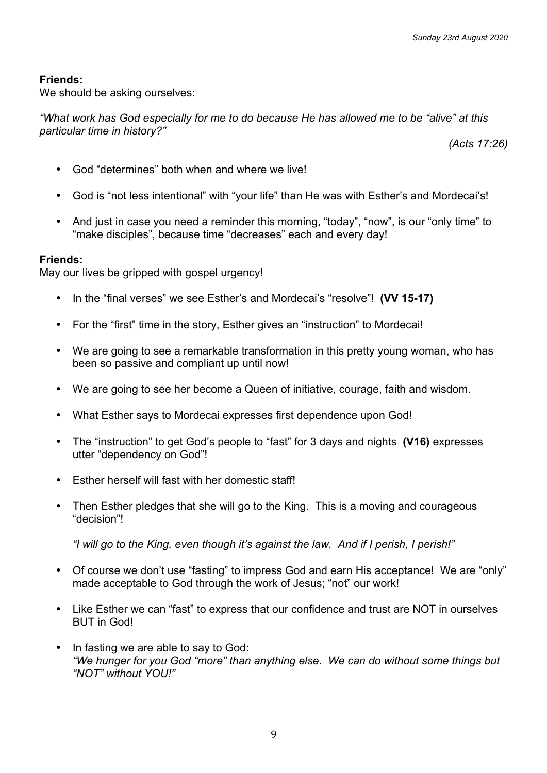We should be asking ourselves:

*"What work has God especially for me to do because He has allowed me to be "alive" at this particular time in history?"*

*(Acts 17:26)*

- God "determines" both when and where we live!
- God is "not less intentional" with "your life" than He was with Esther's and Mordecai's!
- And just in case you need a reminder this morning, "today", "now", is our "only time" to "make disciples", because time "decreases" each and every day!

#### **Friends:**

May our lives be gripped with gospel urgency!

- In the "final verses" we see Esther's and Mordecai's "resolve"! **(VV 15-17)**
- For the "first" time in the story, Esther gives an "instruction" to Mordecai!
- We are going to see a remarkable transformation in this pretty young woman, who has been so passive and compliant up until now!
- We are going to see her become a Queen of initiative, courage, faith and wisdom.
- What Esther says to Mordecai expresses first dependence upon God!
- The "instruction" to get God's people to "fast" for 3 days and nights **(V16)** expresses utter "dependency on God"!
- Esther herself will fast with her domestic staff!
- Then Esther pledges that she will go to the King. This is a moving and courageous "decision"!

*"I will go to the King, even though it's against the law. And if I perish, I perish!"*

- Of course we don't use "fasting" to impress God and earn His acceptance! We are "only" made acceptable to God through the work of Jesus; "not" our work!
- Like Esther we can "fast" to express that our confidence and trust are NOT in ourselves BUT in God!
- In fasting we are able to say to God: *"We hunger for you God "more" than anything else. We can do without some things but "NOT" without YOU!"*